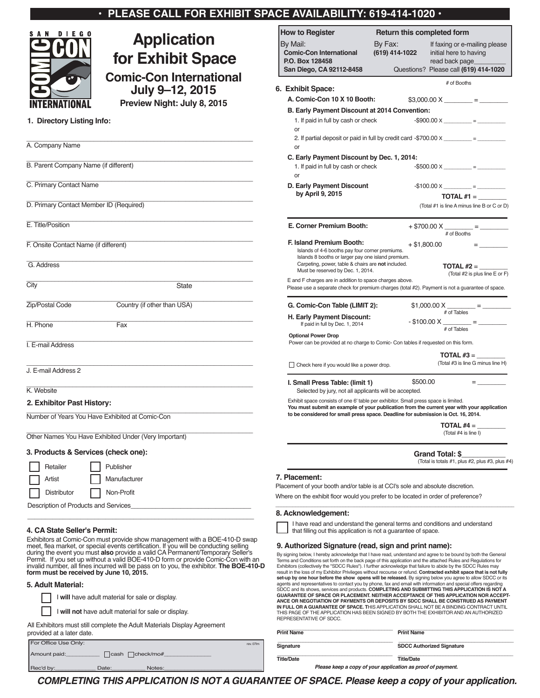| $\cdot$ PLEASE CALL FOR EXHIBIT SPACE AVAILABILITY: 619-414-1020 $\cdot$ |
|--------------------------------------------------------------------------|
|--------------------------------------------------------------------------|



# **Application for Exhibit Space**

**Comic-Con International**

**July 9–12, 2015 Preview Night: July 8, 2015**

# **1. Directory Listing Info:**

| A. Company Name                                       |                             |
|-------------------------------------------------------|-----------------------------|
| B. Parent Company Name (if different)                 |                             |
| C. Primary Contact Name                               |                             |
| D. Primary Contact Member ID (Required)               |                             |
| E. Title/Position                                     |                             |
| F. Onsite Contact Name (if different)                 |                             |
| G. Address                                            |                             |
| City                                                  | <b>State</b>                |
| Zip/Postal Code                                       | Country (if other than USA) |
| H. Phone                                              | Fax                         |
| I. E-mail Address                                     |                             |
| J. E-mail Address 2                                   |                             |
| K. Website                                            |                             |
| 2. Exhibitor Past History:                            |                             |
| Number of Years You Have Exhibited at Comic-Con       |                             |
| Other Names You Have Exhibited Under (Very Important) |                             |
|                                                       |                             |

## **3. Products & Services (check one):**

| Retailer                             | Publisher    |  |  |  |
|--------------------------------------|--------------|--|--|--|
| Artist                               | Manufacturer |  |  |  |
| Distributor                          | Non-Profit   |  |  |  |
| Description of Products and Services |              |  |  |  |

# **4. CA State Seller's Permit:**

Exhibitors at Comic-Con must provide show management with a BOE-410-D swap meet, flea market, or special events certification. If you will be conducting selling<br>during the event you must **also** provide a valid CA Permanent/Temporary Seller's<br>Permit. If you set up without a valid BOE-410-D form or

Rec'd by: \_\_\_\_\_\_\_\_\_\_\_\_\_\_\_\_ Date:\_\_\_\_\_\_\_\_\_\_\_\_\_ Notes:\_\_\_\_\_\_\_\_\_\_\_\_\_\_\_\_\_\_\_\_\_\_\_\_\_\_\_\_

\_\_\_\_\_\_\_\_\_\_\_\_\_\_\_\_\_\_\_\_\_\_\_\_\_\_\_\_\_\_\_\_\_\_\_\_\_\_\_\_\_\_\_\_\_\_\_\_\_\_\_\_\_\_\_\_\_\_\_\_\_\_\_\_

## **5. Adult Material:**

|                                                                                                       | I will have adult material for sale or display.<br>I will not have adult material for sale or display. |  |  |  |
|-------------------------------------------------------------------------------------------------------|--------------------------------------------------------------------------------------------------------|--|--|--|
| All Exhibitors must still complete the Adult Materials Display Agreement<br>provided at a later date. |                                                                                                        |  |  |  |
|                                                                                                       | For Office Use Only:                                                                                   |  |  |  |
|                                                                                                       | Amount paid:<br>$\Box$ check/mo#<br>  cash                                                             |  |  |  |

| <b>How to Register</b><br><b>Return this completed form</b>                                                                                                                                                                                                                                                                                                                                                                                                                                                                                                                            |                                                                                    |                                                                           |  |  |  |
|----------------------------------------------------------------------------------------------------------------------------------------------------------------------------------------------------------------------------------------------------------------------------------------------------------------------------------------------------------------------------------------------------------------------------------------------------------------------------------------------------------------------------------------------------------------------------------------|------------------------------------------------------------------------------------|---------------------------------------------------------------------------|--|--|--|
| By Mail:<br><b>Comic-Con International</b><br>P.O. Box 128458                                                                                                                                                                                                                                                                                                                                                                                                                                                                                                                          | By Fax:<br>(619) 414-1022                                                          | If faxing or e-mailing please<br>initial here to having<br>read back page |  |  |  |
| San Diego, CA 92112-8458                                                                                                                                                                                                                                                                                                                                                                                                                                                                                                                                                               |                                                                                    | Questions? Please call (619) 414-1020                                     |  |  |  |
|                                                                                                                                                                                                                                                                                                                                                                                                                                                                                                                                                                                        |                                                                                    | # of Booths                                                               |  |  |  |
| 6. Exhibit Space:<br>A. Comic-Con 10 X 10 Booth:                                                                                                                                                                                                                                                                                                                                                                                                                                                                                                                                       |                                                                                    |                                                                           |  |  |  |
| B. Early Payment Discount at 2014 Convention:                                                                                                                                                                                                                                                                                                                                                                                                                                                                                                                                          |                                                                                    | $$3,000.00 X$ = =                                                         |  |  |  |
| 1. If paid in full by cash or check                                                                                                                                                                                                                                                                                                                                                                                                                                                                                                                                                    |                                                                                    | $-$ \$900.00 X ________ = ________                                        |  |  |  |
| or                                                                                                                                                                                                                                                                                                                                                                                                                                                                                                                                                                                     |                                                                                    |                                                                           |  |  |  |
| 2. If partial deposit or paid in full by credit card $-$ \$700.00 $\times$ __________ = _______<br>or                                                                                                                                                                                                                                                                                                                                                                                                                                                                                  |                                                                                    |                                                                           |  |  |  |
| C. Early Payment Discount by Dec. 1, 2014:<br>1. If paid in full by cash or check<br>or                                                                                                                                                                                                                                                                                                                                                                                                                                                                                                |                                                                                    | $-$ \$500.00 X _________ = __________                                     |  |  |  |
| D. Early Payment Discount                                                                                                                                                                                                                                                                                                                                                                                                                                                                                                                                                              |                                                                                    |                                                                           |  |  |  |
| by April 9, 2015                                                                                                                                                                                                                                                                                                                                                                                                                                                                                                                                                                       |                                                                                    |                                                                           |  |  |  |
|                                                                                                                                                                                                                                                                                                                                                                                                                                                                                                                                                                                        |                                                                                    | (Total #1 is line A minus line B or C or D)                               |  |  |  |
| E. Corner Premium Booth:                                                                                                                                                                                                                                                                                                                                                                                                                                                                                                                                                               |                                                                                    | # of Booths                                                               |  |  |  |
| <b>F. Island Premium Booth:</b>                                                                                                                                                                                                                                                                                                                                                                                                                                                                                                                                                        |                                                                                    | + \$1,800.00                                                              |  |  |  |
| Islands of 4-6 booths pay four corner premiums.<br>Islands 8 booths or larger pay one island premium.<br>Carpeting, power, table & chairs are not included.<br>Must be reserved by Dec. 1, 2014.                                                                                                                                                                                                                                                                                                                                                                                       |                                                                                    | TOTAL $#2 =$                                                              |  |  |  |
| E and F charges are in addition to space charges above.<br>Please use a separate check for premium charges (total #2). Payment is not a guarantee of space.                                                                                                                                                                                                                                                                                                                                                                                                                            |                                                                                    | (Total #2 is plus line E or F)                                            |  |  |  |
| G. Comic-Con Table (LIMIT 2):                                                                                                                                                                                                                                                                                                                                                                                                                                                                                                                                                          |                                                                                    | $$1,000.00 X$ = =                                                         |  |  |  |
| H. Early Payment Discount:<br>If paid in full by Dec. 1, 2014                                                                                                                                                                                                                                                                                                                                                                                                                                                                                                                          |                                                                                    | # of Tables<br>$-$ \$100.00 X _______ = _________<br># of Tables          |  |  |  |
| <b>Optional Power Drop</b>                                                                                                                                                                                                                                                                                                                                                                                                                                                                                                                                                             | Power can be provided at no charge to Comic- Con tables if requested on this form. |                                                                           |  |  |  |
|                                                                                                                                                                                                                                                                                                                                                                                                                                                                                                                                                                                        |                                                                                    |                                                                           |  |  |  |
| $\Box$ Check here if you would like a power drop.                                                                                                                                                                                                                                                                                                                                                                                                                                                                                                                                      |                                                                                    | (Total #3 is line G minus line H)                                         |  |  |  |
| I. Small Press Table: (limit 1)<br>Selected by jury, not all applicants will be accepted.                                                                                                                                                                                                                                                                                                                                                                                                                                                                                              | \$500.00                                                                           | $=$ $\frac{1}{2}$                                                         |  |  |  |
| Exhibit space consists of one 6' table per exhibitor. Small press space is limited.<br>You must submit an example of your publication from the current year with your application<br>to be considered for small press space. Deadline for submission is Oct. 16, 2014.                                                                                                                                                                                                                                                                                                                 |                                                                                    |                                                                           |  |  |  |
|                                                                                                                                                                                                                                                                                                                                                                                                                                                                                                                                                                                        |                                                                                    | TOTAL $#4 =$<br>(Total #4 is line I)                                      |  |  |  |
|                                                                                                                                                                                                                                                                                                                                                                                                                                                                                                                                                                                        |                                                                                    | <b>Grand Total: \$</b><br>(Total is totals #1, plus #2, plus #3, plus #4) |  |  |  |
| 7. Placement:                                                                                                                                                                                                                                                                                                                                                                                                                                                                                                                                                                          |                                                                                    |                                                                           |  |  |  |
| Placement of your booth and/or table is at CCI's sole and absolute discretion.                                                                                                                                                                                                                                                                                                                                                                                                                                                                                                         |                                                                                    |                                                                           |  |  |  |
| Where on the exhibit floor would you prefer to be located in order of preference?                                                                                                                                                                                                                                                                                                                                                                                                                                                                                                      |                                                                                    |                                                                           |  |  |  |
| 8. Acknowledgement:                                                                                                                                                                                                                                                                                                                                                                                                                                                                                                                                                                    |                                                                                    |                                                                           |  |  |  |
| I have read and understand the general terms and conditions and understand<br>that filling out this application is not a quarantee of space.                                                                                                                                                                                                                                                                                                                                                                                                                                           |                                                                                    |                                                                           |  |  |  |
| 9. Authorized Signature (read, sign and print name):                                                                                                                                                                                                                                                                                                                                                                                                                                                                                                                                   |                                                                                    |                                                                           |  |  |  |
| By signing below, I hereby acknowledge that I have read, understand and agree to be bound by both the General<br>Terms and Conditions set forth on the back page of this application and the attached Rules and Regulations for<br>Exhibitors (collectively the "SDCC Rules"). I further acknowledge that failure to abide by the SDCC Rules may<br>result in the loss of my Exhibitor Privileges without recourse or refund. Contracted exhibit space that is not fully<br>set-up by one hour before the show opens will be released. By signing below you agree to allow SDCC or its |                                                                                    |                                                                           |  |  |  |

**GUARANTEE OF SPACE OR PLACEMENT. NEITHER ACCEPTANCE OF THIS APPLICATION NOR ACCEPT-ANCE OR NEGOTIATION OF PAYMENTS OR DEPOSITS BY SDCC SHALL BE CONSTRUED AS PAYMENT IN FULL OR A GUARANTEE OF SPACE. T**HIS APPLICATION SHALL NOT BE A BINDING CONTRACT UNTIL THIS PAGE OF THE APPLICATION HAS BEEN SIGNED BY BOTH THE EXHIBITOR AND AN AUTHORIZED REPRESENTATIVE OF SDCC. **\_\_\_\_\_\_\_\_\_\_\_\_\_\_\_\_\_\_\_\_\_\_\_\_\_\_\_\_\_\_\_\_\_\_\_\_\_\_\_\_\_ \_\_\_\_\_\_\_\_\_\_\_\_\_\_\_\_\_\_\_\_\_\_\_\_\_\_\_\_\_\_\_\_\_\_\_\_\_\_\_\_\_**

agents and representatives to contact you by phone, fax and email with information and special offers regarding SDCC and its shows, services and products. **COMPLETING AND SUBMITTING THIS APPLICATION IS NOT A**

|           | <b>Print Name</b> | <b>Print Name</b>                |
|-----------|-------------------|----------------------------------|
| rev. 07lm | Signature         | <b>SDCC Authorized Signature</b> |
|           | <b>Title/Date</b> | <b>Title/Date</b>                |

*Please keep a copy of your application as proof of payment.*

*COMPLETING THIS APPLICATION IS NOT A GUARANTEE OF SPACE. Please keep a copy of your application.*